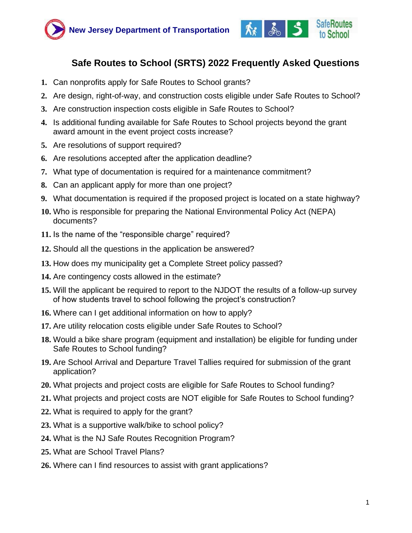



# **[Safe Routes to School \(SRTS\) 2022 Frequently Asked Questions](#page-0-0)**

- <span id="page-0-0"></span>**1.** [Can nonprofits apply for Safe Routes to School](#page-0-1) grants?
- **2.** [Are design, right-of-way, and construction costs eligible under Safe Routes to School?](#page-1-0)
- **3.** [Are construction inspection costs eligible in Safe Routes to School?](#page-1-1)
- **4.** [Is additional funding available for Safe Routes to School](#page-1-2) projects beyond the grant [award amount in the](#page-1-2) [event project costs increase?](#page-1-2)
- **5.** [Are resolutions of support required?](#page-1-3)
- **6.** [Are resolutions accepted after the application deadline?](#page-2-0)
- **7.** [What type of documentation is required for a maintenance commitment?](#page-2-1)
- **8.** [Can an applicant apply for more than one project?](#page-2-2)
- **9.** [What documentation is required if the proposed project is located on a state](#page-2-3) highway?
- **10.** [Who is responsible for preparing the National Environmental Policy Act \(NEPA\)](#page-2-4) [documents?](#page-2-4)
- **11.** [Is the name of the "responsible charge" required?](#page-2-5)
- **12.** [Should all the questions in the application be answered?](#page-3-0)
- **13.** [How does my municipality get a Complete Street policy passed?](#page-3-1)
- **14.** [Are contingency costs allowed in the estimate?](#page-3-2)
- **15.** [Will the applicant be required to report to the NJDOT the results of a follow-up survey](#page-3-3) [of how students travel to school following the project's construction?](#page-3-3)
- **16.** Where can I get additional information on how to apply?
- **17.** [Are utility relocation costs eligible under Safe Routes to School?](#page-4-0)
- **18.** [Would a bike share program \(equipment and installation\) be eligible for funding under](#page-4-1) [Safe Routes to School](#page-4-1) funding?
- **19.** [Are School Arrival and Departure Travel Tallies required for submission of the grant](#page-4-2) application?
- **20.** [What projects and project costs are eligible for Safe Routes to School](#page-4-2) funding?
- **21.** [What projects and project costs are NOT eligible for Safe Routes to School](#page-5-0) funding?
- **22.** [What is required to apply for the grant?](#page-5-0)
- **23.** [What is a supportive walk/bike to school policy?](#page-6-0)
- **24.** [What is the NJ Safe Routes Recognition Program?](#page-6-0)
- **25.** [What are School Travel Plans?](#page-6-0)
- <span id="page-0-1"></span>**26.** [Where can I find resources to assist with grant applications?](#page-6-0)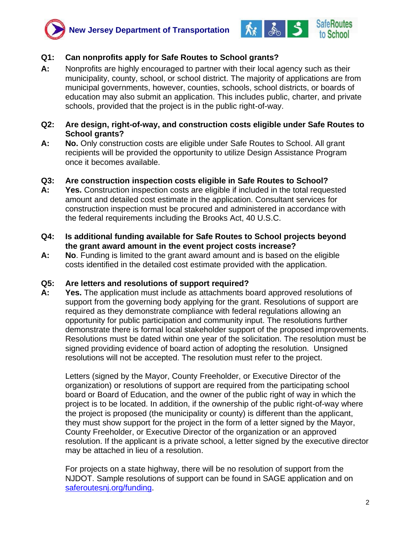



# **Q1: Can nonprofits apply for Safe Routes to School grants?**

**A:** Nonprofits are highly encouraged to partner with their local agency such as their municipality, county, school, or school district. The majority of applications are from municipal governments, however, counties, schools, school districts, or boards of education may also submit an application. This includes public, charter, and private schools, provided that the project is in the public right-of-way.

#### <span id="page-1-0"></span>**Q2: Are design, right-of-way, and construction costs eligible under Safe Routes to School grants?**

**A: No.** Only construction costs are eligible under Safe Routes to School. All grant recipients will be provided the opportunity to utilize Design Assistance Program once it becomes available.

## <span id="page-1-1"></span>**[Q3: Are construction inspection costs eligible in Safe Routes to School?](#page-1-1)**

- **A: Yes.** Construction inspection costs are eligible if included in the total requested amount and detailed cost estimate in the application. Consultant services for construction inspection must be procured and administered in accordance with the federal requirements [including the Brooks Act, 40 U.S.C.](#page-1-2)
- <span id="page-1-2"></span>**[Q4: Is additional funding available for Safe Routes to School](#page-1-2) projects beyond [the grant award amount in](#page-1-2) [the event project costs increase?](#page-1-2)**
- **A: No**. Funding is limited to the grant award amount and is based on the eligible costs [identified in the detailed cost estimate provided with the application.](#page-1-3)

#### <span id="page-1-3"></span>**[Q5: Are letters and resolutions of support required?](#page-1-3)**

**A: Yes.** The application must include as attachments board approved resolutions of support from the governing body applying for the grant. Resolutions of support are required as they demonstrate compliance with federal regulations allowing an opportunity for public participation and community input. The resolutions further demonstrate there is formal local stakeholder support of the proposed improvements. Resolutions must be dated within one year of the solicitation. The resolution must be signed providing evidence of board action of adopting the resolution. Unsigned resolutions will not be accepted. The resolution must refer to the project.

Letters (signed by the Mayor, County Freeholder, or Executive Director of the organization) or resolutions of support are required from the participating school board or Board of Education, and the owner of the public right of way in which the project is to be located. In addition, if the ownership of the public right-of-way where the project is proposed (the municipality or county) is different than the applicant, they must show support for the project in the form of a letter signed by the Mayor, County Freeholder, or Executive Director of the organization or an approved resolution. If the applicant is a private school, a letter signed by the executive director may be attached in lieu of a resolution.

For projects on a state highway, there will be no resolution of support from the NJDOT. Sample resolutions of support can be found in SAGE application and on [saferoutesnj.org/funding.](file:///C:/Users/Leigh%20Ann/Downloads/saferoutesnj.org/funding)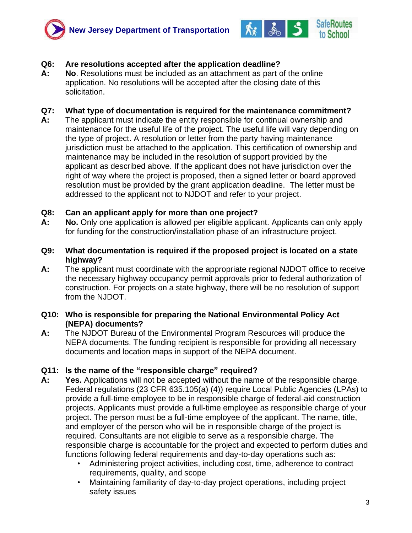



# <span id="page-2-0"></span>**[Q6: Are resolutions accepted after the application deadline?](#page-2-0)**

**A: No**. Resolutions must be included as an attachment as part of the online application. No resolutions will be accepted after the closing date of this solicitation.

#### <span id="page-2-1"></span>**[Q7: What type of documentation is required for the maintenance commitment?](#page-2-1)**

**A:** The applicant must indicate the entity responsible for continual ownership and maintenance for the useful life of the project. The useful life will vary depending on the type of project. A resolution or letter from the party having maintenance jurisdiction must be attached to the application. This certification of ownership and maintenance may [be included in the resolution of support provided by the](#page-2-3)  [applicant](#page-2-3) [as described above.](#page-2-3) If the applicant does not have jurisdiction over the right of way where the project is proposed, then a signed letter or board approved resolution must be provided by the grant application deadline. The letter must be addressed to the applicant not to NJDOT and refer to your project.

#### <span id="page-2-2"></span>**[Q8: Can an applicant apply for more than one project?](#page-2-2)**

- **[A:](#page-2-4) No.** Only one application is allowed per eligible applicant. Applicants can only apply for funding for the construction/installation phase of an infrastructure project.
- <span id="page-2-3"></span>**[Q9: What documentation is required if the proposed project is located on a state](#page-2-3) [highway?](#page-2-3)**
- **A:** The applicant must coordinate with the appropriate regional NJDOT office to receive the necessary highway occupancy permit approvals prior to federal authorization of construction. For projects on a state highway, there will be no resolution of support from the NJDOT.

#### <span id="page-2-4"></span>**[Q10: Who is responsible for preparing the National Environmental Policy Act](#page-2-4)  [\(NEPA\)](#page-2-4) [documents?](#page-2-4)**

**A:** The NJDOT Bureau of the Environmental Program Resources will produce the NEPA documents. The funding recipient is responsible for providing all necessary [documents and location maps in support of the NEPA document.](#page-3-0)

#### <span id="page-2-5"></span>**[Q11: Is the name of the "responsible charge" required?](#page-2-5)**

- **A: Yes.** Applications will not be accepted without the name of the responsible charge. Federal regulations (23 CFR 635.105(a) (4)) require Local Public Agencies (LPAs) to provide a full-time employee to be in responsible charge of federal-aid construction projects. Applicants must provide a full‐time employee as responsible charge of your project. The person must be a full-time employee of the applicant. The name, title, and employer of the person who will be in responsible charge of the project is required. Consultants are not eligible to serve as a responsible charge. The responsible charge is accountable for the project and expected to perform duties and functions following federal requirements and day-to-day operations such as:
	- Administering project activities, including cost, time, adherence to contract requirements, quality, and scope
	- Maintaining familiarity of day-to-day project operations, including project safety issues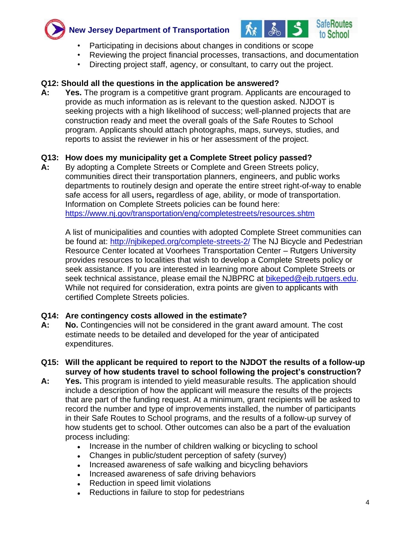



- Participating in decisions about changes in conditions or scope
- Reviewing the project financial processes, transactions, and documentation
- Directing project staff, agency, or consultant, to carry out the project.

# <span id="page-3-0"></span>**[Q12: Should all the questions in the application be answered?](#page-3-0)**

**A: Yes.** The program is a competitive grant program. Applicants are encouraged to provide as much information as is relevant to the question asked. NJDOT is seeking projects with a high likelihood of success; well-planned projects that are construction ready and meet the overall goals of the Safe Routes to School program. Applicants should attach photographs, maps, surveys, studies, and reports to assist the reviewer in his or her assessment of the project.

# <span id="page-3-1"></span>**[Q13: How does my municipality get a Complete Street policy passed?](#page-3-1)**

**A:** By adopting a Complete Streets or Complete and Green Streets policy, communities direct their transportation planners, engineers, and public works departments to routinely design and operate the entire street right-of-way to enable safe access for all users**,** regardless of age, ability, or mode of transportation. Information on Complete Streets policies can be found here: <https://www.nj.gov/transportation/eng/completestreets/resources.shtm>

A list of municipalities and counties with adopted Complete Street communities can be found at:<http://njbikeped.org/complete-streets-2/> The NJ Bicycle and Pedestrian Resource Center located at Voorhees Transportation Center – Rutgers University provides resources to localities that wish to develop a Complete Streets policy or seek assistance. If you are interested in learning more about Complete Streets or seek technical assistance, please email the NJBPRC at [bikeped@ejb.rutgers.edu.](mailto:bikeped@ejb.rutgers.edu) While not required for consideration, extra points are given to applicants with certified Complete Streets policies.

#### <span id="page-3-2"></span>**[Q14: Are contingency costs allowed in the estimate?](#page-3-2)**

- **A: No.** Contingencies will not be considered in the grant award amount. The cost estimate needs to be detailed and developed for the year of anticipated expenditures.
- <span id="page-3-3"></span>**[Q15: Will the applicant be required to report to the NJDOT the results of a follow-up](#page-3-3)  [survey](#page-3-3) [of how students travel to school following the project's construction?](#page-3-3)**
- **A: Yes.** This program is intended to yield measurable results. The application should include a description of how the applicant will measure the results of the projects that are part of the funding request. At a minimum, grant recipients will be asked to record the number and type of improvements installed, the number of participants in their Safe Routes to School programs, and the results of a follow-up survey of how students get to school. Other outcomes can also be a part of the evaluation process including:
	- Increase in the number of children walking or bicycling to school
	- Changes in public/student perception of safety (survey)
	- Increased awareness of safe walking and bicycling behaviors
	- Increased awareness of safe driving behaviors
	- Reduction in speed limit violations
	- Reductions in failure to stop for pedestrians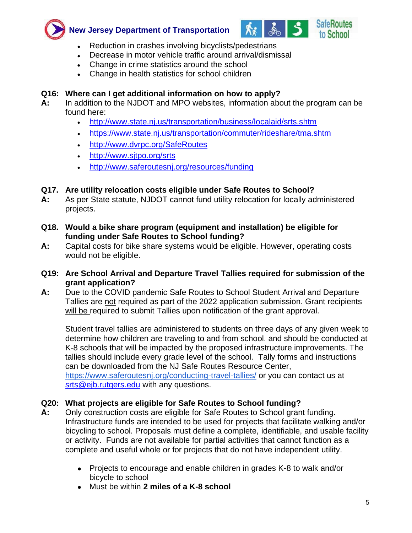<span id="page-4-2"></span>



- Reduction in crashes involving bicyclists/pedestrians
- Decrease in motor vehicle traffic around arrival/dismissal
- Change in crime statistics around the school
- Change in health statistics for school children

# **Q16: Where can I get additional information on how to apply?**

- **A:** In addition to the NJDOT and MPO websites, information about the program can be found here:
	- <http://www.state.nj.us/transportation/business/localaid/srts.shtm>
	- <https://www.state.nj.us/transportation/commuter/rideshare/tma.shtm>
	- <http://www.dvrpc.org/SafeRoutes>
	- <http://www.sjtpo.org/srts>
	- <http://www.saferoutesnj.org/resources/funding>

## <span id="page-4-0"></span>**[Q17. Are utility relocation costs eligible under Safe Routes to School?](#page-4-0)**

- **A:** As per State statute, NJDOT cannot fund utility relocation for locally administered projects.
- <span id="page-4-1"></span>**[Q18. Would a bike share program \(equipment and installation\) be eligible for](#page-4-1)  [funding](#page-4-1) [under Safe Routes to School](#page-4-1) funding?**
- **A:** Capital costs for bike share systems would be eligible. However, operating costs would not be eligible.

## **Q19: Are School Arrival and Departure Travel Tallies required for submission of the grant application?**

**A:** Due to the COVID pandemic Safe Routes to School Student Arrival and Departure Tallies are not required as part of the 2022 application submission. Grant recipients will be required to submit Tallies upon notification of the grant approval.

Student travel tallies are administered to students on three days of any given week to determine how children are traveling to and from school. and should be conducted at K-8 schools that will be impacted by the proposed infrastructure improvements. The tallies should include every grade level of the school. Tally forms and instructions can be downloaded from the NJ Safe Routes Resource Center, <https://www.saferoutesnj.org/conducting-travel-tallies/> or you can contact us at [srts@ejb.rutgers.edu](mailto:srts@ejb.rutgers.edu) with any questions.

# **Q20: What projects are eligible for Safe Routes to School funding?**

- **A:** Only construction costs are eligible for Safe Routes to School grant funding. Infrastructure funds are intended to be used for projects that facilitate walking and/or bicycling to school. Proposals must define a complete, identifiable, and usable facility or activity. Funds are not available for partial activities that cannot function as a complete and useful whole or for projects that do not have independent utility.
	- Projects to encourage and enable children in grades K-8 to walk and/or bicycle to school
	- Must be within **2 miles of a K-8 school**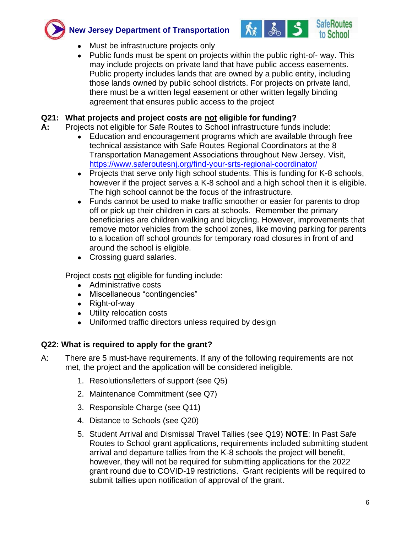<span id="page-5-0"></span>



- Must be infrastructure projects only
- Public funds must be spent on projects within the public right-of- way. This may include projects on private land that have public access easements. Public property includes lands that are owned by a public entity, including those lands owned by public school districts. For projects on private land, there must be a written legal easement or other written legally binding agreement that ensures public access to the project

# **Q21: What projects and project costs are not eligible for funding?**

- **A:** Projects not eligible for Safe Routes to School infrastructure funds include:
	- Education and encouragement programs which are available through free technical assistance with Safe Routes Regional Coordinators at the 8 Transportation Management Associations throughout New Jersey. Visit, <https://www.saferoutesnj.org/find-your-srts-regional-coordinator/>
	- Projects that serve only high school students. This is funding for K-8 schools, however if the project serves a K-8 school and a high school then it is eligible. The high school cannot be the focus of the infrastructure.
	- Funds cannot be used to make traffic smoother or easier for parents to drop off or pick up their children in cars at schools. Remember the primary beneficiaries are children walking and bicycling. However, improvements that remove motor vehicles from the school zones, like moving parking for parents to a location off school grounds for temporary road closures in front of and around the school is eligible.
	- Crossing guard salaries.

Project costs not eligible for funding include:

- Administrative costs
- Miscellaneous "contingencies"
- Right-of-way
- Utility relocation costs
- Uniformed traffic directors unless required by design

# **Q22: What is required to apply for the grant?**

- A: There are 5 must-have requirements. If any of the following requirements are not met, the project and the application will be considered ineligible.
	- 1. Resolutions/letters of support (see Q5)
	- 2. Maintenance Commitment (see Q7)
	- 3. Responsible Charge (see Q11)
	- 4. Distance to Schools (see Q20)
	- 5. Student Arrival and Dismissal Travel Tallies (see Q19) **NOTE**: In Past Safe Routes to School grant applications, requirements included submitting student arrival and departure tallies from the K-8 schools the project will benefit, however, they will not be required for submitting applications for the 2022 grant round due to COVID-19 restrictions. Grant recipients will be required to submit tallies upon notification of approval of the grant.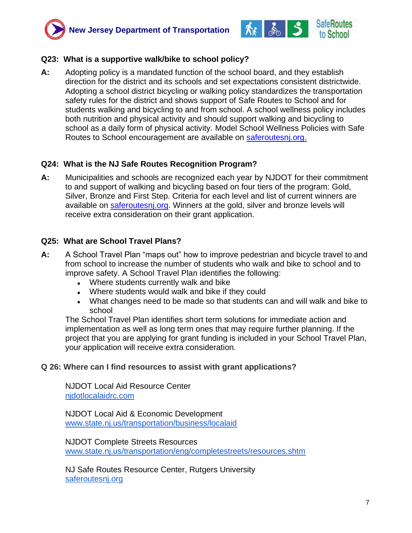<span id="page-6-0"></span>



#### **Q23: What is a supportive walk/bike to school policy?**

**A:** Adopting policy is a mandated function of the school board, and they establish direction for the district and its schools and set expectations consistent districtwide. Adopting a school district bicycling or walking policy standardizes the transportation safety rules for the district and shows support of Safe Routes to School and for students walking and bicycling to and from school. A school wellness policy includes both nutrition and physical activity and should support walking and bicycling to school as a daily form of physical activity. Model School Wellness Policies with Safe Routes to School encouragement are available on saferoutesniorg.

## **Q24: What is the NJ Safe Routes Recognition Program?**

**A:** Municipalities and schools are recognized each year by NJDOT for their commitment to and support of walking and bicycling based on four tiers of the program: Gold, Silver, Bronze and First Step. Criteria for each level and list of current winners are available on saferoutesniorg. Winners at the gold, silver and bronze levels will receive extra consideration on their grant application.

## **Q25: What are School Travel Plans?**

- **A:** A School Travel Plan "maps out" how to improve pedestrian and bicycle travel to and from school to increase the number of students who walk and bike to school and to improve safety. A School Travel Plan identifies the following:
	- Where students currently walk and bike
	- Where students would walk and bike if they could
	- What changes need to be made so that students can and will walk and bike to school

The School Travel Plan identifies short term solutions for immediate action and implementation as well as long term ones that may require further planning. If the project that you are applying for grant funding is included in your School Travel Plan, your application will receive extra consideration.

#### **Q 26: Where can I find resources to assist with grant applications?**

NJDOT Local Aid Resource Center [njdotlocalaidrc.com](https://njdotlocalaidrc.com/)

NJDOT Local Aid & Economic Development [www.state.nj.us/transportation/business/localaid](http://www.state.nj.us/transportation/business/localaid)

NJDOT Complete Streets Resources www.state.nj.us/transportation/eng/completestreets/resources.shtm

NJ Safe Routes Resource Center, Rutgers University [saferoutesnj.org](https://www.saferoutesnj.org/)